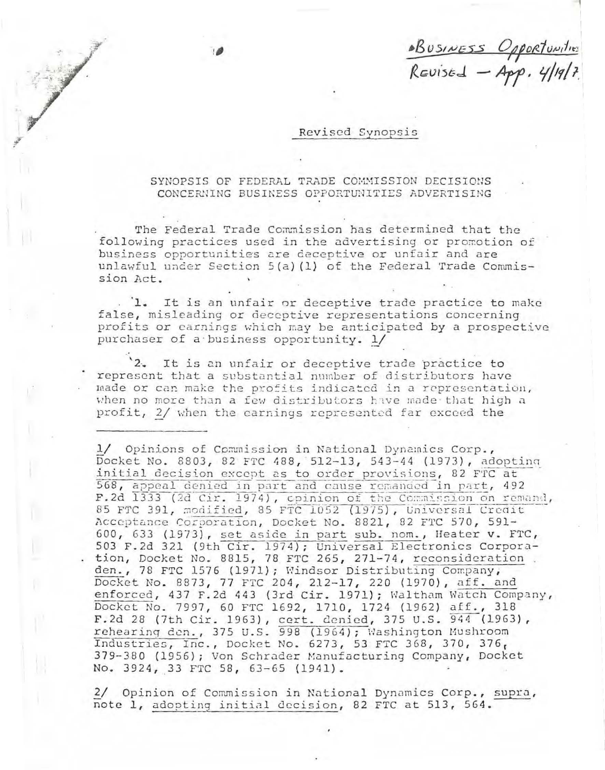<u>BUSINESS Opportunities</u><br>Revised - App. 4/19/7.

## Revised Synopsis

## SYNOPSIS OF FEDERAL TRADE COMMISSION DECISIONS CONCERNING BUSINESS OPPORTUNITIES ADVERTISING

The Federal Trade Commission has determined that the following practices used in the advertising or promotion of business opportunities are deceptive or unfair and are unlawful under Section 5(a)(1) of the Federal Trade Commission Act.

'1. It is an unfair or deceptive trade practice to make false, misleading or deceptive representations concerning profits or earnings which may be anticipated by a prospective purchaser of a business opportunity. 1/

 $2.2$ It is an unfair or deceptive trade practice to represent that a substantial number of distributors have made or can make the profits indicated in a representation, when no more than a few distributors have made that high a profit, 2/ when the carnings represented far exceed the

1/ Opinions of Commission in National Dynamics Corp., Docket No. 8803, 82 FTC 488, 512-13, 543-44 (1973), adopting initial decision except as to order provisions, 82 FTC at 568, appeal denied in part and cause remanded in part, 492 F.2d 1333 (2d Cir. 1974), opinion of the Commission on remand, 85 FTC 391, modified, 85 FTC 1052 (1975), Universal Credit Acceptance Corporation, Docket No. 8821, 82 FTC 570, 591-600, 633 (1973), set aside in part sub. nom., Heater v. FTC, 503 F.2d 321 (9th Cir. 1974); Universal Electronics Corporation, Docket No. 8815, 78 FTC 265, 271-74, reconsideration. den., 78 FTC 1576 (1971); Windsor Distributing Company, Docket No. 8873, 77 FTC 204, 212-17, 220 (1970), aff. and enforced, 437 F.2d 443 (3rd Cir. 1971); Waltham Watch Company, Docket No. 7997, 60 FTC 1692, 1710, 1724 (1962) aff., 318 F.2d 28 (7th Cir. 1963), cert. denied, 375 U.S. 944 (1963), rehearing den., 375 U.S. 998 (1964); Washington Mushroom Industries, Inc., Docket No. 6273, 53 FTC 368, 370, 376, 379-380 (1956); Von Schrader Manufacturing Company, Docket No. 3924, 33 FTC 58, 63-65 (1941).

2/ Opinion of Commission in National Dynamics Corp., supra, note 1, adopting initial decision, 82 FTC at 513, 564.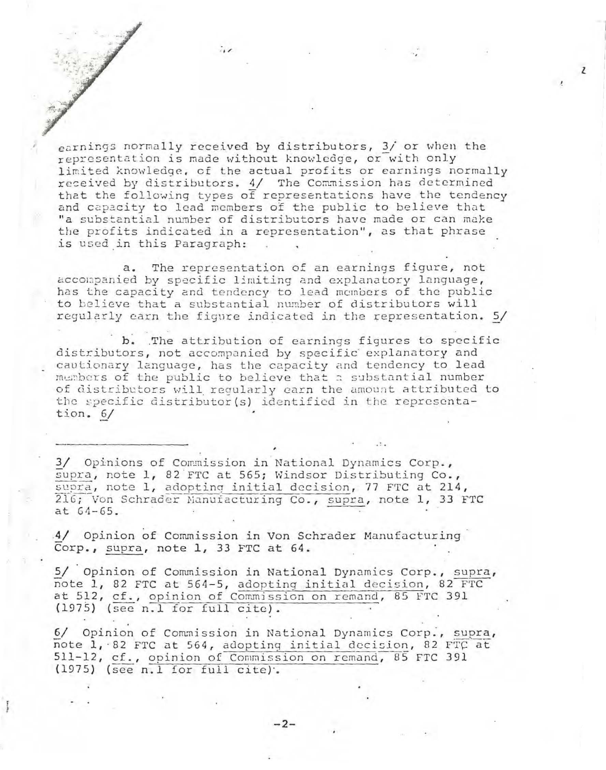earnings normally received by distributors, 3/ or when the representation is made without knowledge, or with only limited knowledge, of the actual profits or earnings normally received by distributors. 4/ The Commission has determined that the following types of representations have the tendency and capacity to lead members of the public to believe that "a substantial number of distributors have made or can make the profits indicated in a representation", as that phrase is used in this Paragraph:

 $\mathbf{Z}$ 

a. The representation of an earnings figure, not accompanied by specific limiting and explanatory language, has the capacity and tendency to lead members of the public to believe that a substantial number of distributors will regularly earn the figure indicated in the representation. 5/

b. The attribution of earnings figures to specific distributors, not accompanied by specific explanatory and cautionary language, has the capacity and tendency to lead members of the public to believe that a substantial number of distributors will regularly carn the amount attributed to the specific distributor(s) identified in the representation.  $6/$ 

3/ Opinions of Commission in National Dynamics Corp., supra, note 1, 82 FTC at 565; Windsor Distributing Co., supra, note 1, adopting initial decision, 77 FTC at 214, 216; Von Schrader Manuiacturing Co., supra, note 1, 33 FTC  $at 64-65.$ 

4/ Opinion of Commission in Von Schrader Manufacturing Corp., supra, note 1, 33 FTC at 64.

5/ Opinion of Commission in National Dynamics Corp., supra, note 1, 82 FTC at 564-5, adopting initial decision, 82 FTC at 512, cf., opinion of Commission on remand, 85 FTC 391 (1975) (see n.l for full cite).

6/ Opinion of Commission in National Dynamics Corp., supra, note 1, 82 FTC at 564, adopting initial decision, 82 FTC at 511-12, cf., opinion of Commission on remand, 85 FTC 391  $(1975)$  (see n.1 for full cite).